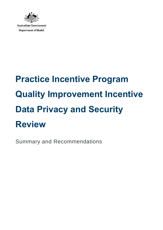

**Australian Government Department of Health** 

# **Practice Incentive Program Quality Improvement Incentive Data Privacy and Security Review**

Summary and Recommendations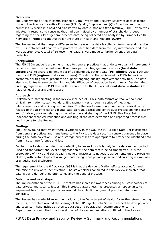## **Overview**

The Department of Health commissioned a Data Privacy and Security Review of data collected through the Practice Incentive Program (PIP) Quality Improvement (QI) Incentive and the processes by which it is held and transferred by data custodians (**the Review**). The Review was initiated in response to concerns that had been raised by a number of stakeholder groups regarding the security of general practice data being collected and analysed by Primary Health Networks (**PHNs**) and the Australian Institute of Health and Welfare (**AIHW**).

The Review found that despite differences in the way the data is collected from general practice by PHNs, data security controls to protect de-identified data from misuse, interference and loss were appropriate. A total of 14 recommendations were made to further strengthen data protection.

## **Background**

The PIP QI Incentive is a payment made to general practices that undertake quality improvement activities to improve patient care. It requires participating general practices (**local data custodians**) to share a minimum set of de-identified, patient data (**PIP Eligible Data Set**) with their local PHN (**regional data custodians**). The data collected is used by PHNs to work in partnership with general practices to support ongoing quality improvement activities. The data also contributes to service planning and identification of population health needs. De-identified data aggregated at the PHN level will be shared with the AIHW (**national data custodian**) for national level analysis and research.

## **Approach**

Stakeholders participating in the Review included all PHNs, data extraction tool vendors and clinical information system vendors. Engagement was through a series of meetings, teleconferences and online questionnaires. The Review focused on a number of areas directly related to the a) physical and digital data storage, access and contractual protections for security and b) privacy policies relating to the collection and sharing of the PIP Eligible Data Set. Independent technical validation and auditing of the data extraction and reporting process was not in scope for the Review.

#### **Findings**

The Review found that whilst there is variability in the way the PIP Eligible Data Set is collected from general practices and transferred to the PHNs, the data security controls currently in place during the data collection, use and storage processes are appropriate to protect de-identified data from misuse, interference and loss.

Further, the Review identified that variability between PHNs is largely in the data extraction tool used and the format and level of aggregation of the data that is being transferred. It is the prerogative of PHNs and participating general practices to negotiate agreements on the provision of data, with certain types of arrangements being more privacy-positive and carrying a lower risk of unauthorised disclosure.

The requirement by the *Privacy Act 1988* is that the de-identification efforts account for and minimise the risk of re-identification. The stakeholders consulted in this Review indicated that data is being de-identified prior to leaving the general practice.

#### **Outcome and next steps**

The implementation of the PIP QI Incentive has increased awareness among all stakeholders of data privacy and security issues. This increased awareness has presented an opportunity to implement best practice approaches around the collection of general practice data more generally.

The Review has made 14 recommendations to the Department of Health for further strengthening the PIP QI Incentive around the sharing of the PIP Eligible Data Set with respect to data privacy and security. These include strategic, data set and operational recommendations. The Department is committed to addressing all of the recommendations outlined in the Review.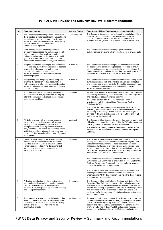# **PIP QI Data Privacy and Security Review- Recommendations**

| No.            | Recommendation                                                                                                                                                                                                                                                                                                             | <b>Current Status</b> | Department of Health's response to recommendation                                                                                                                                                                                                                                                                                                                                                                                                           |
|----------------|----------------------------------------------------------------------------------------------------------------------------------------------------------------------------------------------------------------------------------------------------------------------------------------------------------------------------|-----------------------|-------------------------------------------------------------------------------------------------------------------------------------------------------------------------------------------------------------------------------------------------------------------------------------------------------------------------------------------------------------------------------------------------------------------------------------------------------------|
| $\mathbf{1}$   | The Department of Health perform a review into<br>the extraction of wider population health data sets<br>and other data sets from general practices to<br>PHNs, and how this data is handled and used by<br>data extraction vendors, PHNs and<br>Commonwealth agencies.                                                    | Action required       | The Department is currently considering the potential need for a<br>regulatory impact statement process to assess regulatory<br>options to improve, privacy, security and interoperability<br>arrangements for general practice and/or broader health data.                                                                                                                                                                                                 |
| $\overline{2}$ | From its early stages, any changed or new<br>program that addresses the collection or use of<br>patient or practice data involve a broader<br>collaboration between the Department of Health,<br>general practices, PHNs, data extraction tool<br>vendors and clinical information system vendors.                         | Continuing            | The Department will continue to engage with relevant<br>stakeholders on programs, which collect patient or practice data.                                                                                                                                                                                                                                                                                                                                   |
| 3              | Targeted information campaigns and information<br>resources be provided well in advance to address<br>any anticipated concerns of both general<br>practices and patients ahead of the<br>implementation of any new or changed data<br>collection program.                                                                  | Continuing            | The Department will continue to provide relevant stakeholders<br>the opportunity to comment on proposed resources to ensure<br>queries and concerns are addressed prior to public release. The<br>Department will work to improve lead times for public release of<br>resources and material to support sector readiness.                                                                                                                                   |
| 4              | That planning and budgeting for any programs<br>involving the collection of data account for the<br>high resource and effort cost associated with the<br>implementation of data privacy and security best<br>practice controls.                                                                                            | Continuing            | The Department will continue to monitor the costs and regulatory<br>burdens associated with implementing data privacy principles<br>and security best practice controls. This will be assessed through<br>ongoing engagement with relevant stakeholders required to<br>implement these measures.                                                                                                                                                            |
| 5              | To support consistency in privacy and security<br>maturity across PHNs, opportunities for ongoing<br>inter-PHN collaboration to share knowledge and<br>practices be identified.                                                                                                                                            | Actioned              | PHNs have a number of established networks for collaboration in<br>data privacy and security, such as the PHN Data Steering Group<br>and state based data governance committees.<br>This will be bolstered by the Government's \$10 million<br>investment in a PHN National Data Storage and Analysis<br>Solution (NDSAS).<br>In addition, the Department has established a PHN PIP QI<br>working group and SharePoint site to facilitate collaboration and |
| 6              | PHNs be provided with an optional standard                                                                                                                                                                                                                                                                                 | Actioned              | the sharing of knowledge across regions. The working group<br>provides PHNs with direct access to the Departmental PIP QI<br>staff ensuring timely support.<br>The Department has developed a model data sharing agreement                                                                                                                                                                                                                                  |
|                | contract which includes the data privacy and<br>security controls expected in contractual<br>arrangements and other agreements with third-<br>party providers. This should be supported by the<br>facilitation of collaboration and knowledge sharing<br>between PHNs, particularly in the area of contract<br>management. |                       | which has been co-designed with PHNs, the PIP Advisory Group<br>(PIPAG) and its Data Governance Sub Committee.<br>The model data sharing agreement sets out model terms and<br>conditions for the creation and submission of the PIP Eligible<br>Data Set.                                                                                                                                                                                                  |
| $\overline{7}$ | Guidance be provided on the level of security<br>controls that are expected around the direct<br>reporting of the PIP Eligible Data Set and that<br>vendors are supported in the development of<br>interfaces which ensure that data privacy and<br>security is maintained.                                                | Actioned              | The Department engaged Doll Martin Associates Pty Ltd. to<br>develop clear and concise resources for the PIP Eligible Data<br>Set submission requirements. These resources have been<br>finalised and will assist in providing clarity around privacy and<br>security requirements for the data set by articulating the type of<br>data required by general practice to PHNs and emphasising de-<br>identification and suppression requirements.            |
|                |                                                                                                                                                                                                                                                                                                                            |                       | The Department will also continue to work with the PIPAG Data<br>Governance Sub-Committee to ensure that the PIP Eligible Data<br>Set Data Governance Framework provides sufficient guidance<br>on security and privacy arrangements.                                                                                                                                                                                                                       |
|                |                                                                                                                                                                                                                                                                                                                            |                       | The Department has also developed a time limited PHN Data<br>Working Group to assist software vendors and PHNs in<br>understanding PIP QI data requirements including those relating<br>to data privacy and security.                                                                                                                                                                                                                                       |
| 8              | A detailed specification on the reporting, data<br>aggregation and manipulation requirements of the<br>national data custodian be developed and<br>provided to PHNs expeditiously to inform planning<br>and change management.                                                                                             | In progress           | The Department has established a Regional and National Data<br>Custodian SharePoint site to enable collaboration between the<br>Australian Institute of Health Welfare (AIHW) and the PHNs on<br>specific data sharing requirements. The AIHW is working directly<br>with a number of PHNs to develop and test data shells and<br>mechanisms for the exchange of data including supporting data<br>sharing agreements                                       |
| 9              | An independent testing and validation of the data<br>extraction process through data extraction tools<br>be performed to review effectiveness of security<br>controls and processes, including the de-<br>identification of data.                                                                                          | Action required       | As noted under Recommendation 1, the Department is currently<br>considering the potential need for a regulatory impact statement<br>process to assess regulatory options to improve, privacy,<br>security and interoperability arrangements for general practice<br>and/or broader health data. The RIS will address independent<br>testing and validation of data from differing extraction tools.                                                         |